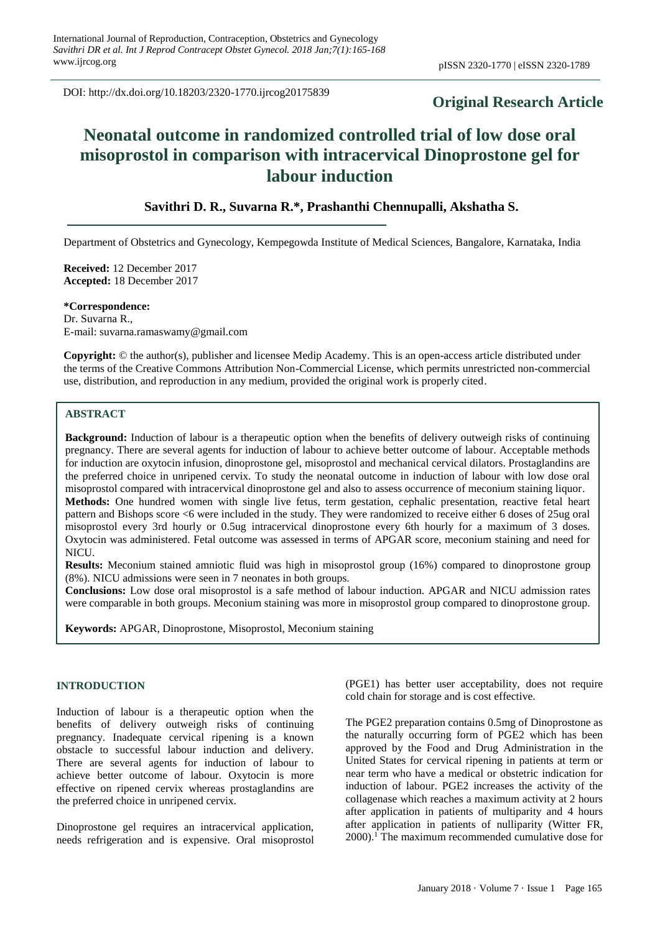DOI: http://dx.doi.org/10.18203/2320-1770.ijrcog20175839

# **Original Research Article**

# **Neonatal outcome in randomized controlled trial of low dose oral misoprostol in comparison with intracervical Dinoprostone gel for labour induction**

# **Savithri D. R., Suvarna R.\*, Prashanthi Chennupalli, Akshatha S.**

Department of Obstetrics and Gynecology, Kempegowda Institute of Medical Sciences, Bangalore, Karnataka, India

**Received:** 12 December 2017 **Accepted:** 18 December 2017

**\*Correspondence:** Dr. Suvarna R., E-mail: suvarna.ramaswamy@gmail.com

**Copyright:** © the author(s), publisher and licensee Medip Academy. This is an open-access article distributed under the terms of the Creative Commons Attribution Non-Commercial License, which permits unrestricted non-commercial use, distribution, and reproduction in any medium, provided the original work is properly cited.

# **ABSTRACT**

**Background:** Induction of labour is a therapeutic option when the benefits of delivery outweigh risks of continuing pregnancy. There are several agents for induction of labour to achieve better outcome of labour. Acceptable methods for induction are oxytocin infusion, dinoprostone gel, misoprostol and mechanical cervical dilators. Prostaglandins are the preferred choice in unripened cervix. To study the neonatal outcome in induction of labour with low dose oral misoprostol compared with intracervical dinoprostone gel and also to assess occurrence of meconium staining liquor. **Methods:** One hundred women with single live fetus, term gestation, cephalic presentation, reactive fetal heart pattern and Bishops score <6 were included in the study. They were randomized to receive either 6 doses of 25ug oral misoprostol every 3rd hourly or 0.5ug intracervical dinoprostone every 6th hourly for a maximum of 3 doses. Oxytocin was administered. Fetal outcome was assessed in terms of APGAR score, meconium staining and need for NICU.

**Results:** Meconium stained amniotic fluid was high in misoprostol group (16%) compared to dinoprostone group (8%). NICU admissions were seen in 7 neonates in both groups.

**Conclusions:** Low dose oral misoprostol is a safe method of labour induction. APGAR and NICU admission rates were comparable in both groups. Meconium staining was more in misoprostol group compared to dinoprostone group.

**Keywords:** APGAR, Dinoprostone, Misoprostol, Meconium staining

# **INTRODUCTION**

Induction of labour is a therapeutic option when the benefits of delivery outweigh risks of continuing pregnancy. Inadequate cervical ripening is a known obstacle to successful labour induction and delivery. There are several agents for induction of labour to achieve better outcome of labour. Oxytocin is more effective on ripened cervix whereas prostaglandins are the preferred choice in unripened cervix.

Dinoprostone gel requires an intracervical application, needs refrigeration and is expensive. Oral misoprostol (PGE1) has better user acceptability, does not require cold chain for storage and is cost effective.

The PGE2 preparation contains 0.5mg of Dinoprostone as the naturally occurring form of PGE2 which has been approved by the Food and Drug Administration in the United States for cervical ripening in patients at term or near term who have a medical or obstetric indication for induction of labour. PGE2 increases the activity of the collagenase which reaches a maximum activity at 2 hours after application in patients of multiparity and 4 hours after application in patients of nulliparity (Witter FR, 2000).<sup>1</sup> The maximum recommended cumulative dose for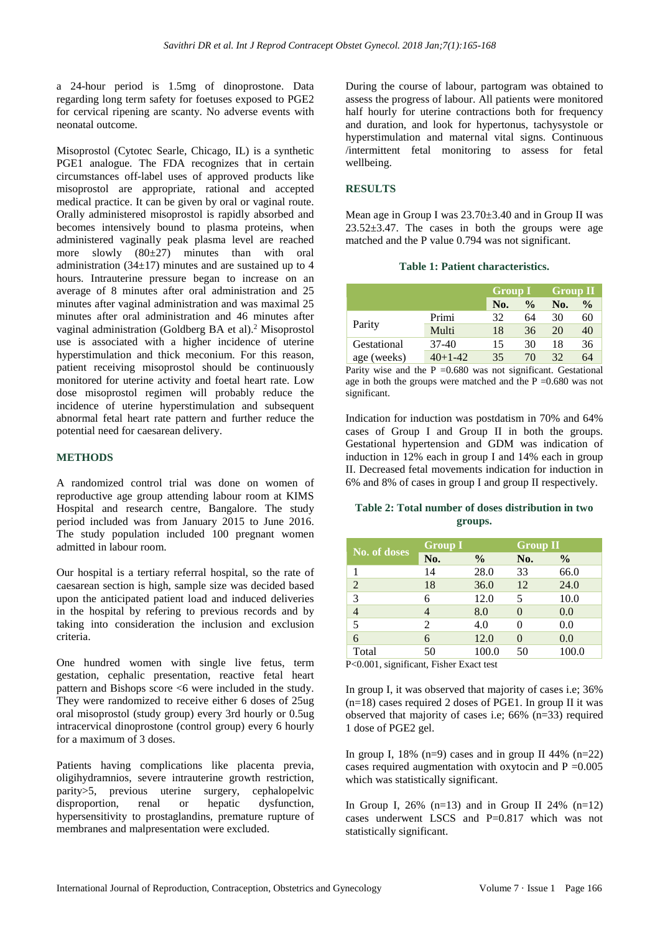a 24-hour period is 1.5mg of dinoprostone. Data regarding long term safety for foetuses exposed to PGE2 for cervical ripening are scanty. No adverse events with neonatal outcome.

Misoprostol (Cytotec Searle, Chicago, IL) is a synthetic PGE1 analogue. The FDA recognizes that in certain circumstances off-label uses of approved products like misoprostol are appropriate, rational and accepted medical practice. It can be given by oral or vaginal route. Orally administered misoprostol is rapidly absorbed and becomes intensively bound to plasma proteins, when administered vaginally peak plasma level are reached more slowly  $(80\pm27)$  minutes than with oral administration  $(34\pm17)$  minutes and are sustained up to 4 hours. Intrauterine pressure began to increase on an average of 8 minutes after oral administration and 25 minutes after vaginal administration and was maximal 25 minutes after oral administration and 46 minutes after vaginal administration (Goldberg BA et al).<sup>2</sup> Misoprostol use is associated with a higher incidence of uterine hyperstimulation and thick meconium. For this reason, patient receiving misoprostol should be continuously monitored for uterine activity and foetal heart rate. Low dose misoprostol regimen will probably reduce the incidence of uterine hyperstimulation and subsequent abnormal fetal heart rate pattern and further reduce the potential need for caesarean delivery.

# **METHODS**

A randomized control trial was done on women of reproductive age group attending labour room at KIMS Hospital and research centre, Bangalore. The study period included was from January 2015 to June 2016. The study population included 100 pregnant women admitted in labour room.

Our hospital is a tertiary referral hospital, so the rate of caesarean section is high, sample size was decided based upon the anticipated patient load and induced deliveries in the hospital by refering to previous records and by taking into consideration the inclusion and exclusion criteria.

One hundred women with single live fetus, term gestation, cephalic presentation, reactive fetal heart pattern and Bishops score <6 were included in the study. They were randomized to receive either 6 doses of 25ug oral misoprostol (study group) every 3rd hourly or 0.5ug intracervical dinoprostone (control group) every 6 hourly for a maximum of 3 doses.

Patients having complications like placenta previa, oligihydramnios, severe intrauterine growth restriction, parity>5, previous uterine surgery, cephalopelvic disproportion, renal or hepatic dysfunction, hypersensitivity to prostaglandins, premature rupture of membranes and malpresentation were excluded.

During the course of labour, partogram was obtained to assess the progress of labour. All patients were monitored half hourly for uterine contractions both for frequency and duration, and look for hypertonus, tachysystole or hyperstimulation and maternal vital signs. Continuous /intermittent fetal monitoring to assess for fetal wellbeing.

# **RESULTS**

Mean age in Group I was 23.70±3.40 and in Group II was 23.52±3.47. The cases in both the groups were age matched and the P value 0.794 was not significant.

#### **Table 1: Patient characteristics.**

|                            |           |     | <b>Group I</b> |     | <b>Group II</b> |  |
|----------------------------|-----------|-----|----------------|-----|-----------------|--|
|                            |           | No. | $\frac{0}{0}$  | No. | $\frac{0}{0}$   |  |
| Parity                     | Primi     | 32  | 64             | 30  | 60              |  |
|                            | Multi     | 18  | 36             | 20  | 40              |  |
| Gestational<br>age (weeks) | $37-40$   | 15  | 30             | 18  | 36              |  |
|                            | $40+1-42$ | 35  | 70             | 32  | 64              |  |

Parity wise and the  $P = 0.680$  was not significant. Gestational age in both the groups were matched and the  $P = 0.680$  was not significant.

Indication for induction was postdatism in 70% and 64% cases of Group I and Group II in both the groups. Gestational hypertension and GDM was indication of induction in 12% each in group I and 14% each in group II. Decreased fetal movements indication for induction in 6% and 8% of cases in group I and group II respectively.

# **Table 2: Total number of doses distribution in two groups.**

| No. of doses   | <b>Group I</b> |               | <b>Group II</b> |               |
|----------------|----------------|---------------|-----------------|---------------|
|                | No.            | $\frac{0}{0}$ | No.             | $\frac{6}{6}$ |
|                | 14             | 28.0          | 33              | 66.0          |
| $\overline{2}$ | 18             | 36.0          | 12              | 24.0          |
| 3              | 6              | 12.0          | 5               | 10.0          |
| $\overline{4}$ | 4              | 8.0           | $\theta$        | 0.0           |
| $\overline{5}$ | 2              | 4.0           | 0               | 0.0           |
| 6              | 6              | 12.0          | $\theta$        | 0.0           |
| Total          | 50             | 100.0         | 50              | 100.0         |

P<0.001, significant, Fisher Exact test

In group I, it was observed that majority of cases i.e; 36%  $(n=18)$  cases required 2 doses of PGE1. In group II it was observed that majority of cases i.e:  $66\%$  (n=33) required 1 dose of PGE2 gel.

In group I,  $18\%$  (n=9) cases and in group II 44% (n=22) cases required augmentation with oxytocin and  $P = 0.005$ which was statistically significant.

In Group I,  $26\%$  (n=13) and in Group II 24% (n=12) cases underwent LSCS and P=0.817 which was not statistically significant.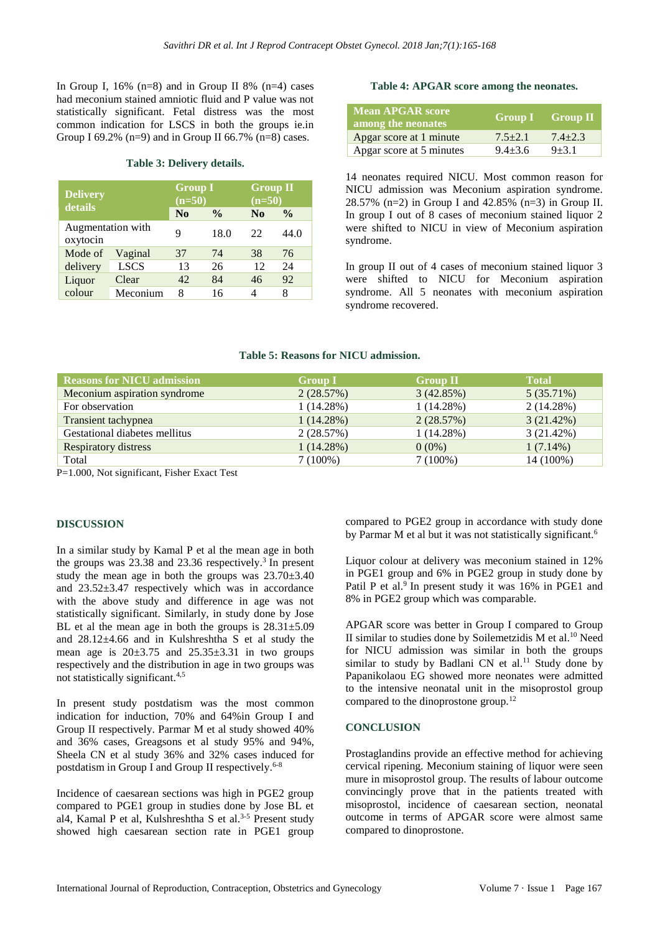In Group I,  $16\%$  (n=8) and in Group II 8% (n=4) cases had meconium stained amniotic fluid and P value was not statistically significant. Fetal distress was the most common indication for LSCS in both the groups ie.in Group I 69.2% (n=9) and in Group II 66.7% (n=8) cases.

# **Table 3: Delivery details.**

| <b>Delivery</b><br>details    |             | <b>Group I</b><br>$(n=50)$ |               |                | <b>Group II</b><br>$(n=50)$ |  |
|-------------------------------|-------------|----------------------------|---------------|----------------|-----------------------------|--|
|                               |             | $\mathbf{N}\mathbf{0}$     | $\frac{0}{0}$ | N <sub>0</sub> | $\frac{6}{9}$               |  |
| Augmentation with<br>oxytocin |             | 9                          | 18.0          | 22             | 44.0                        |  |
| Mode of                       | Vaginal     | 37                         | 74            | 38             | 76                          |  |
| delivery                      | <b>LSCS</b> | 13                         | 26            | 12             | 24                          |  |
| Liquor                        | Clear       | 42                         | 84            | 46             | 92                          |  |
| colour                        | Meconium    | 8                          | 16            | Λ              | 8                           |  |

### **Table 4: APGAR score among the neonates.**

| <b>Mean APGAR score</b><br>among the neonates |             | $\sqrt{1 - 1}$ Group II |
|-----------------------------------------------|-------------|-------------------------|
| Apgar score at 1 minute                       | $7.5 + 2.1$ | $7.4 + 2.3$             |
| Apgar score at 5 minutes                      | $9.4 + 3.6$ | $9 + 3.1$               |

14 neonates required NICU. Most common reason for NICU admission was Meconium aspiration syndrome. 28.57% (n=2) in Group I and 42.85% (n=3) in Group II. In group I out of 8 cases of meconium stained liquor 2 were shifted to NICU in view of Meconium aspiration syndrome.

In group II out of 4 cases of meconium stained liquor 3 were shifted to NICU for Meconium aspiration syndrome. All 5 neonates with meconium aspiration syndrome recovered.

### **Table 5: Reasons for NICU admission.**

| <b>Reasons for NICU admission</b> | <b>Group I</b> | <b>Group II</b> | <b>Total</b> |
|-----------------------------------|----------------|-----------------|--------------|
| Meconium aspiration syndrome      | 2(28.57%)      | 3(42.85%)       | $5(35.71\%)$ |
| For observation                   | 1(14.28%)      | $1(14.28\%)$    | 2(14.28%)    |
| Transient tachypnea               | 1(14.28%)      | 2(28.57%)       | 3(21.42%)    |
| Gestational diabetes mellitus     | 2(28.57%)      | $1(14.28\%)$    | $3(21.42\%)$ |
| <b>Respiratory distress</b>       | 1(14.28%)      | $0(0\%)$        | $1(7.14\%)$  |
| Total                             | $7(100\%)$     | $7(100\%)$      | 14 (100%)    |

P=1.000, Not significant, Fisher Exact Test

#### **DISCUSSION**

In a similar study by Kamal P et al the mean age in both the groups was  $23.38$  and  $23.36$  respectively.<sup>3</sup> In present study the mean age in both the groups was  $23.70\pm3.40$ and 23.52±3.47 respectively which was in accordance with the above study and difference in age was not statistically significant. Similarly, in study done by Jose BL et al the mean age in both the groups is  $28.31 \pm 5.09$ and 28.12±4.66 and in Kulshreshtha S et al study the mean age is  $20\pm3.75$  and  $25.35\pm3.31$  in two groups respectively and the distribution in age in two groups was not statistically significant.4,5

In present study postdatism was the most common indication for induction, 70% and 64%in Group I and Group II respectively. Parmar M et al study showed 40% and 36% cases, Greagsons et al study 95% and 94%, Sheela CN et al study 36% and 32% cases induced for postdatism in Group I and Group II respectively. 6-8

Incidence of caesarean sections was high in PGE2 group compared to PGE1 group in studies done by Jose BL et al4, Kamal P et al, Kulshreshtha S et al.<sup>3-5</sup> Present study showed high caesarean section rate in PGE1 group compared to PGE2 group in accordance with study done by Parmar M et al but it was not statistically significant.<sup>6</sup>

Liquor colour at delivery was meconium stained in 12% in PGE1 group and 6% in PGE2 group in study done by Patil P et al.<sup>9</sup> In present study it was 16% in PGE1 and 8% in PGE2 group which was comparable.

APGAR score was better in Group I compared to Group II similar to studies done by [Soilemetzidis M](https://www.ncbi.nlm.nih.gov/pubmed/?term=Soilemetzidis%20M%5BAuthor%5D&cauthor=true&cauthor_uid=26524816) et al.<sup>10</sup> Need for NICU admission was similar in both the groups similar to study by Badlani  $CN$  et al.<sup>11</sup> Study done by Papanikolaou EG showed more neonates were admitted to the intensive neonatal unit in the misoprostol group compared to the dinoprostone group.<sup>12</sup>

# **CONCLUSION**

Prostaglandins provide an effective method for achieving cervical ripening. Meconium staining of liquor were seen mure in misoprostol group. The results of labour outcome convincingly prove that in the patients treated with misoprostol, incidence of caesarean section, neonatal outcome in terms of APGAR score were almost same compared to dinoprostone.